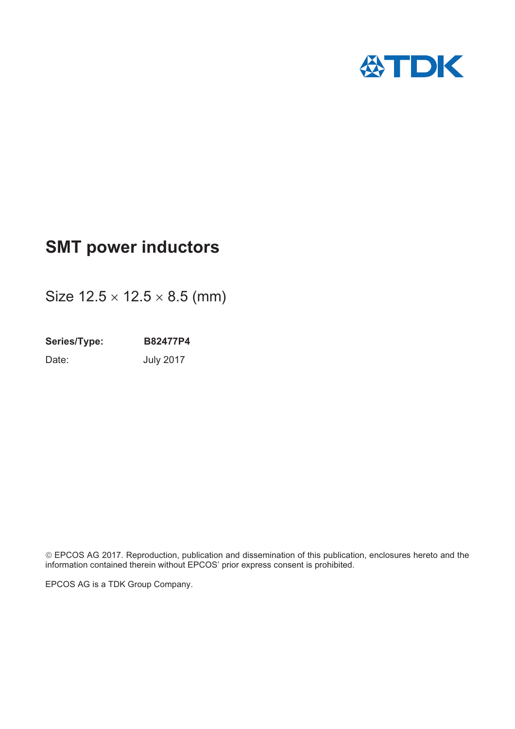

# **SMT power inductors**

Size  $12.5 \times 12.5 \times 8.5$  (mm)

**Series/Type: B82477P4** Date: **July 2017** 

© EPCOS AG 2017. Reproduction, publication and dissemination of this publication, enclosures hereto and the information contained therein without EPCOS' prior express consent is prohibited.

EPCOS AG is a TDK Group Company.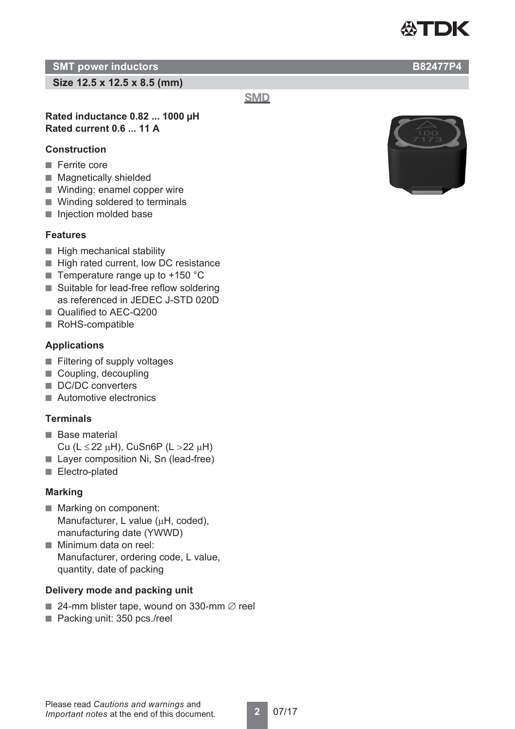

**Size 12.5 x 12.5 x 8.5 (mm)**

**SMD** 

# **Rated inductance 0.82 ... 1000 μH Rated current 0.6 ... 11 A**

# **Construction**

- Ferrite core
- Magnetically shielded
- Winding: enamel copper wire
- Winding soldered to terminals
- Injection molded base

# **Features**

- High mechanical stability
- High rated current, low DC resistance
- Temperature range up to  $+150$  °C
- Suitable for lead-free reflow soldering as referenced in JEDEC J-STD 020D
- Qualified to AEC-Q200
- RoHS-compatible

# **Applications**

- Filtering of supply voltages
- Coupling, decoupling
- DC/DC converters
- Automotive electronics

# **Terminals**

- Base material Cu (L  $\le$  22  $\mu$ H), CuSn6P (L  $>$  22  $\mu$ H)
- Layer composition Ni, Sn (lead-free)
- Electro-plated

# **Marking**

- Marking on component: Manufacturer, L value ( $\mu$ H, coded), manufacturing date (YWWD)
- Minimum data on reel: Manufacturer, ordering code, L value, quantity, date of packing

# **Delivery mode and packing unit**

- 24-mm blister tape, wound on 330-mm  $\varnothing$  reel
- Packing unit: 350 pcs./reel



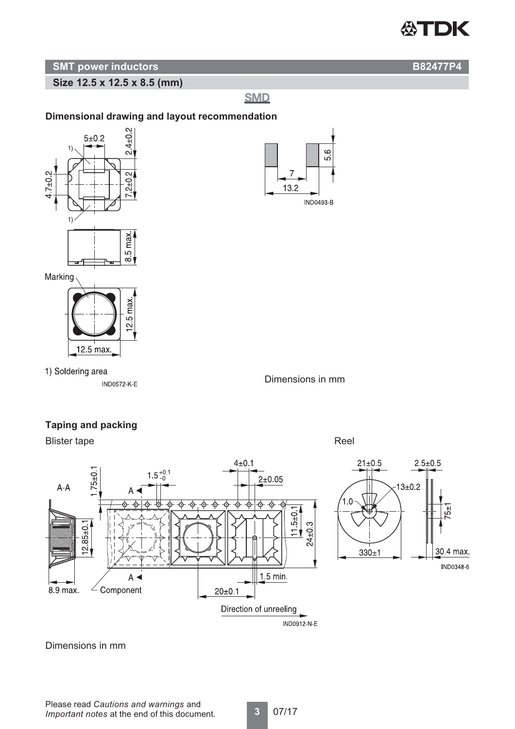

**Size 12.5 x 12.5 x 8.5 (mm)**

**SMD** 

# **Dimensional drawing and layout recommendation**



1) Soldering area

**IND0572-K-E** 

Dimensions in mm

# **Taping and packing**

12.5 max

Blister tape Reel



 $21 \pm 0.5$  $2.5 + 0.5$  $13 + 0.2$  $1.0$ 

 $330 + 1$ 

54

30.4 max. IND0348-6

Dimensions in mm

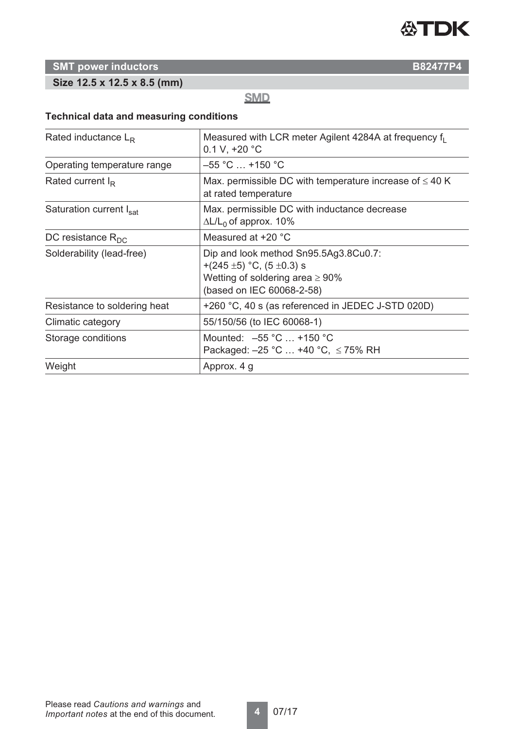

# **Size 12.5 x 12.5 x 8.5 (mm)**

**SMD** 

# **Technical data and measuring conditions**

| Rated inductance $L_R$       | Measured with LCR meter Agilent 4284A at frequency f <sub>1</sub><br>0.1 V, $+20$ °C                                                              |  |  |  |  |
|------------------------------|---------------------------------------------------------------------------------------------------------------------------------------------------|--|--|--|--|
| Operating temperature range  | $-55$ °C $\ldots$ +150 °C                                                                                                                         |  |  |  |  |
| Rated current $I_R$          | Max. permissible DC with temperature increase of $\leq 40$ K<br>at rated temperature                                                              |  |  |  |  |
| Saturation current Isat      | Max. permissible DC with inductance decrease<br>$\Delta L/L_0$ of approx. 10%                                                                     |  |  |  |  |
| DC resistance $R_{DC}$       | Measured at +20 °C                                                                                                                                |  |  |  |  |
| Solderability (lead-free)    | Dip and look method Sn95.5Ag3.8Cu0.7:<br>+(245 $\pm$ 5) °C, (5 $\pm$ 0.3) s<br>Wetting of soldering area $\geq 90\%$<br>(based on IEC 60068-2-58) |  |  |  |  |
| Resistance to soldering heat | +260 °C, 40 s (as referenced in JEDEC J-STD 020D)                                                                                                 |  |  |  |  |
| Climatic category            | 55/150/56 (to IEC 60068-1)                                                                                                                        |  |  |  |  |
| Storage conditions           | Mounted: $-55 °C$ +150 °C<br>Packaged: $-25$ °C  +40 °C, $\leq$ 75% RH                                                                            |  |  |  |  |
| Weight                       | Approx. 4 g                                                                                                                                       |  |  |  |  |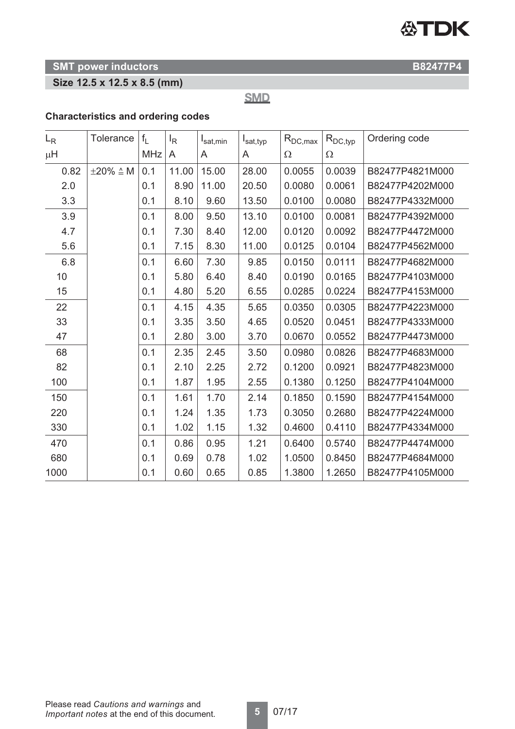

# **Size 12.5 x 12.5 x 8.5 (mm)**

**SMD** 

# **Characteristics and ordering codes**

| $L_{R}$ | Tolerance               | $f_{L}$    | <sup>I</sup> R | $I_{\text{sat,min}}$ | $I_{\text{sat,typ}}$ | $R_{DC,max}$ | $R_{DC,typ}$ | Ordering code   |
|---------|-------------------------|------------|----------------|----------------------|----------------------|--------------|--------------|-----------------|
| $\mu$ H |                         | <b>MHz</b> | A              | A                    | A                    | $\Omega$     | $\Omega$     |                 |
| 0.82    | $\pm 20\% \triangleq M$ | 0.1        | 11.00          | 15.00                | 28.00                | 0.0055       | 0.0039       | B82477P4821M000 |
| 2.0     |                         | 0.1        | 8.90           | 11.00                | 20.50                | 0.0080       | 0.0061       | B82477P4202M000 |
| 3.3     |                         | 0.1        | 8.10           | 9.60                 | 13.50                | 0.0100       | 0.0080       | B82477P4332M000 |
| 3.9     |                         | 0.1        | 8.00           | 9.50                 | 13.10                | 0.0100       | 0.0081       | B82477P4392M000 |
| 4.7     |                         | 0.1        | 7.30           | 8.40                 | 12.00                | 0.0120       | 0.0092       | B82477P4472M000 |
| 5.6     |                         | 0.1        | 7.15           | 8.30                 | 11.00                | 0.0125       | 0.0104       | B82477P4562M000 |
| 6.8     |                         | 0.1        | 6.60           | 7.30                 | 9.85                 | 0.0150       | 0.0111       | B82477P4682M000 |
| 10      |                         | 0.1        | 5.80           | 6.40                 | 8.40                 | 0.0190       | 0.0165       | B82477P4103M000 |
| 15      |                         | 0.1        | 4.80           | 5.20                 | 6.55                 | 0.0285       | 0.0224       | B82477P4153M000 |
| 22      |                         | 0.1        | 4.15           | 4.35                 | 5.65                 | 0.0350       | 0.0305       | B82477P4223M000 |
| 33      |                         | 0.1        | 3.35           | 3.50                 | 4.65                 | 0.0520       | 0.0451       | B82477P4333M000 |
| 47      |                         | 0.1        | 2.80           | 3.00                 | 3.70                 | 0.0670       | 0.0552       | B82477P4473M000 |
| 68      |                         | 0.1        | 2.35           | 2.45                 | 3.50                 | 0.0980       | 0.0826       | B82477P4683M000 |
| 82      |                         | 0.1        | 2.10           | 2.25                 | 2.72                 | 0.1200       | 0.0921       | B82477P4823M000 |
| 100     |                         | 0.1        | 1.87           | 1.95                 | 2.55                 | 0.1380       | 0.1250       | B82477P4104M000 |
| 150     |                         | 0.1        | 1.61           | 1.70                 | 2.14                 | 0.1850       | 0.1590       | B82477P4154M000 |
| 220     |                         | 0.1        | 1.24           | 1.35                 | 1.73                 | 0.3050       | 0.2680       | B82477P4224M000 |
| 330     |                         | 0.1        | 1.02           | 1.15                 | 1.32                 | 0.4600       | 0.4110       | B82477P4334M000 |
| 470     |                         | 0.1        | 0.86           | 0.95                 | 1.21                 | 0.6400       | 0.5740       | B82477P4474M000 |
| 680     |                         | 0.1        | 0.69           | 0.78                 | 1.02                 | 1.0500       | 0.8450       | B82477P4684M000 |
| 1000    |                         | 0.1        | 0.60           | 0.65                 | 0.85                 | 1.3800       | 1.2650       | B82477P4105M000 |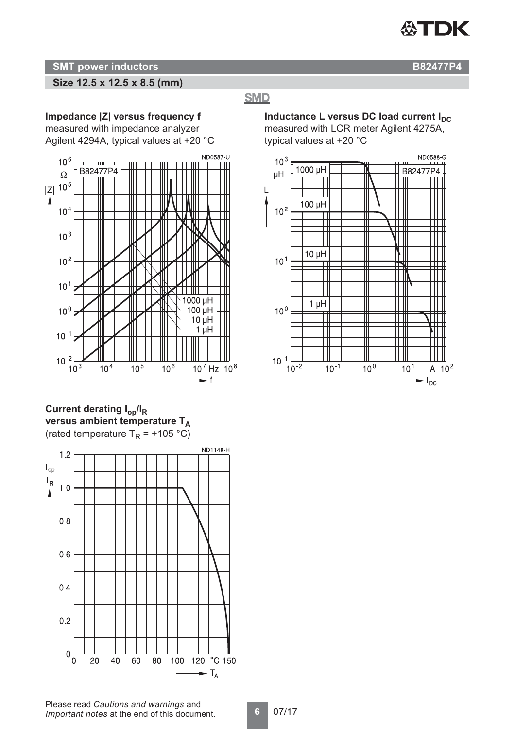

# **Size 12.5 x 12.5 x 8.5 (mm)**

# **SMD**

**Impedance |Z| versus frequency f** measured with impedance analyzer Agilent 4294A, typical values at +20 °C



**Current derating Iop/IR versus ambient temperature TA** (rated temperature  $T_R = +105$  °C)



**Inductance L versus DC load current I<sub>DC</sub>** measured with LCR meter Agilent 4275A, typical values at +20 °C

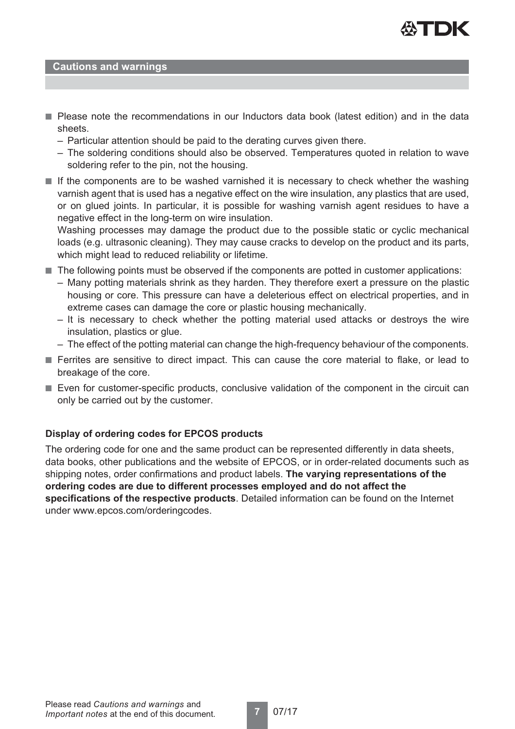

#### **Cautions and warnings**

- Please note the recommendations in our Inductors data book (latest edition) and in the data sheets.
	- Particular attention should be paid to the derating curves given there.
	- The soldering conditions should also be observed. Temperatures quoted in relation to wave soldering refer to the pin, not the housing.
- If the components are to be washed varnished it is necessary to check whether the washing varnish agent that is used has a negative effect on the wire insulation, any plastics that are used, or on glued joints. In particular, it is possible for washing varnish agent residues to have a negative effect in the long-term on wire insulation.

Washing processes may damage the product due to the possible static or cyclic mechanical loads (e.g. ultrasonic cleaning). They may cause cracks to develop on the product and its parts, which might lead to reduced reliability or lifetime.

- The following points must be observed if the components are potted in customer applications:
	- Many potting materials shrink as they harden. They therefore exert a pressure on the plastic housing or core. This pressure can have a deleterious effect on electrical properties, and in extreme cases can damage the core or plastic housing mechanically.
	- It is necessary to check whether the potting material used attacks or destroys the wire insulation, plastics or glue.
	- The effect of the potting material can change the high-frequency behaviour of the components.
- Ferrites are sensitive to direct impact. This can cause the core material to flake, or lead to breakage of the core.
- Even for customer-specific products, conclusive validation of the component in the circuit can only be carried out by the customer.

#### **Display of ordering codes for EPCOS products**

The ordering code for one and the same product can be represented differently in data sheets, data books, other publications and the website of EPCOS, or in order-related documents such as shipping notes, order confirmations and product labels. **The varying representations of the ordering codes are due to different processes employed and do not affect the specifications of the respective products**. Detailed information can be found on the Internet under www.epcos.com/orderingcodes.